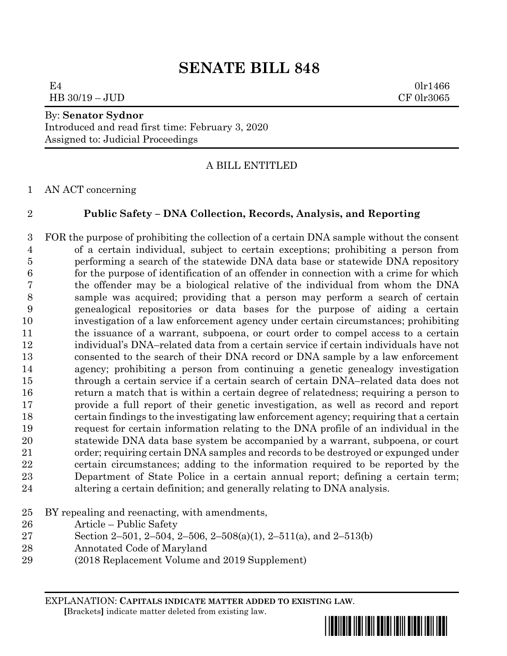# **SENATE BILL 848**

 $E4$  0lr1466 HB 30/19 – JUD CF 0lr3065

# By: **Senator Sydnor**

Introduced and read first time: February 3, 2020 Assigned to: Judicial Proceedings

# A BILL ENTITLED

AN ACT concerning

# **Public Safety – DNA Collection, Records, Analysis, and Reporting**

 FOR the purpose of prohibiting the collection of a certain DNA sample without the consent of a certain individual, subject to certain exceptions; prohibiting a person from performing a search of the statewide DNA data base or statewide DNA repository for the purpose of identification of an offender in connection with a crime for which the offender may be a biological relative of the individual from whom the DNA sample was acquired; providing that a person may perform a search of certain genealogical repositories or data bases for the purpose of aiding a certain investigation of a law enforcement agency under certain circumstances; prohibiting 11 the issuance of a warrant, subpoena, or court order to compel access to a certain individual's DNA–related data from a certain service if certain individuals have not consented to the search of their DNA record or DNA sample by a law enforcement agency; prohibiting a person from continuing a genetic genealogy investigation through a certain service if a certain search of certain DNA–related data does not return a match that is within a certain degree of relatedness; requiring a person to provide a full report of their genetic investigation, as well as record and report certain findings to the investigating law enforcement agency; requiring that a certain request for certain information relating to the DNA profile of an individual in the statewide DNA data base system be accompanied by a warrant, subpoena, or court order; requiring certain DNA samples and records to be destroyed or expunged under certain circumstances; adding to the information required to be reported by the Department of State Police in a certain annual report; defining a certain term; altering a certain definition; and generally relating to DNA analysis.

- BY repealing and reenacting, with amendments,
- Article Public Safety
- Section 2–501, 2–504, 2–506, 2–508(a)(1), 2–511(a), and 2–513(b)
- Annotated Code of Maryland
- (2018 Replacement Volume and 2019 Supplement)

EXPLANATION: **CAPITALS INDICATE MATTER ADDED TO EXISTING LAW**.  **[**Brackets**]** indicate matter deleted from existing law.



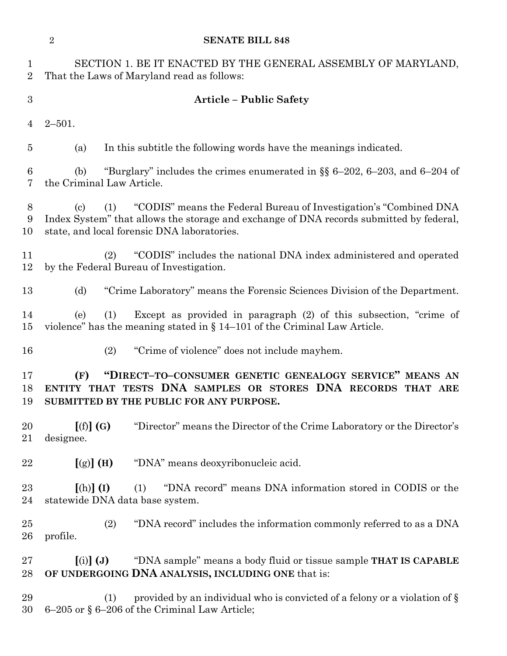|                                | $\sqrt{2}$<br><b>SENATE BILL 848</b>                                                                                                                                                                                                              |
|--------------------------------|---------------------------------------------------------------------------------------------------------------------------------------------------------------------------------------------------------------------------------------------------|
| $\mathbf{1}$<br>$\overline{2}$ | SECTION 1. BE IT ENACTED BY THE GENERAL ASSEMBLY OF MARYLAND,<br>That the Laws of Maryland read as follows:                                                                                                                                       |
| 3                              | <b>Article - Public Safety</b>                                                                                                                                                                                                                    |
| 4                              | $2 - 501.$                                                                                                                                                                                                                                        |
| $\overline{5}$                 | In this subtitle the following words have the meanings indicated.<br>(a)                                                                                                                                                                          |
| 6<br>7                         | "Burglary" includes the crimes enumerated in $\S$ 6-202, 6-203, and 6-204 of<br>(b)<br>the Criminal Law Article.                                                                                                                                  |
| $8\,$<br>9<br>10               | "CODIS" means the Federal Bureau of Investigation's "Combined DNA"<br>(1)<br>$\left( \mathrm{e}\right)$<br>Index System" that allows the storage and exchange of DNA records submitted by federal,<br>state, and local forensic DNA laboratories. |
| 11<br>12                       | "CODIS" includes the national DNA index administered and operated<br>(2)<br>by the Federal Bureau of Investigation.                                                                                                                               |
| 13                             | "Crime Laboratory" means the Forensic Sciences Division of the Department.<br>(d)                                                                                                                                                                 |
| 14<br>15                       | Except as provided in paragraph (2) of this subsection, "crime of<br>(1)<br>(e)<br>violence" has the meaning stated in $\S 14-101$ of the Criminal Law Article.                                                                                   |
| 16                             | (2)<br>"Crime of violence" does not include mayhem.                                                                                                                                                                                               |
| 17<br>18<br>19                 | "DIRECT-TO-CONSUMER GENETIC GENEALOGY SERVICE" MEANS AN<br>(F)<br>ENTITY THAT TESTS DNA SAMPLES OR STORES DNA RECORDS THAT ARE<br>SUBMITTED BY THE PUBLIC FOR ANY PURPOSE.                                                                        |
| 20<br>21                       | [(f)](G)<br>"Director" means the Director of the Crime Laboratory or the Director's<br>designee.                                                                                                                                                  |
| 22                             | $[(g)]$ (H)<br>"DNA" means deoxyribonucleic acid.                                                                                                                                                                                                 |
| 23<br>24                       | $[(h)]$ $(I)$<br>"DNA record" means DNA information stored in CODIS or the<br>(1)<br>statewide DNA data base system.                                                                                                                              |
| 25<br>26                       | (2)<br>"DNA record" includes the information commonly referred to as a DNA<br>profile.                                                                                                                                                            |
| 27<br>28                       | $(i)$ $(j)$<br>"DNA sample" means a body fluid or tissue sample <b>THAT IS CAPABLE</b><br>OF UNDERGOING DNA ANALYSIS, INCLUDING ONE that is:                                                                                                      |
| 29<br>30                       | provided by an individual who is convicted of a felony or a violation of §<br>(1)<br>6-205 or § 6-206 of the Criminal Law Article;                                                                                                                |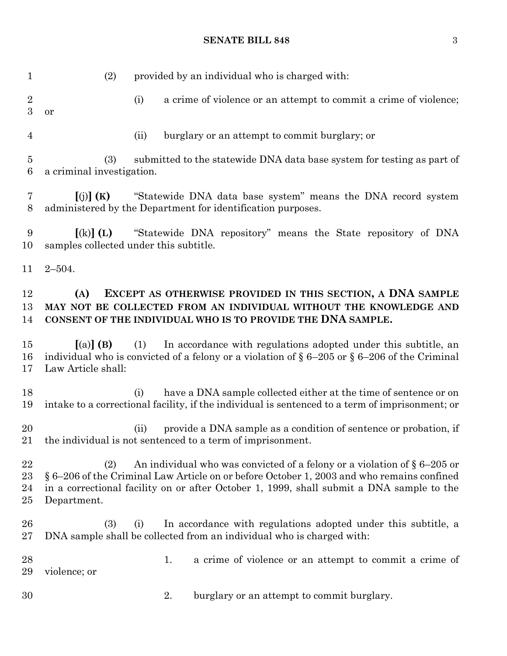# **SENATE BILL 848** 3

| $\mathbf{1}$                  | provided by an individual who is charged with:<br>(2)                                                                                                                                                                                                                                      |
|-------------------------------|--------------------------------------------------------------------------------------------------------------------------------------------------------------------------------------------------------------------------------------------------------------------------------------------|
| $\overline{2}$<br>3           | (i)<br>a crime of violence or an attempt to commit a crime of violence;<br>or                                                                                                                                                                                                              |
| $\overline{4}$                | burglary or an attempt to commit burglary; or<br>(ii)                                                                                                                                                                                                                                      |
| $\overline{5}$<br>$\,6$       | submitted to the statewide DNA data base system for testing as part of<br>(3)<br>a criminal investigation.                                                                                                                                                                                 |
| 7<br>8                        | [(j)](K)<br>"Statewide DNA data base system" means the DNA record system<br>administered by the Department for identification purposes.                                                                                                                                                    |
| 9<br>10                       | "Statewide DNA repository" means the State repository of DNA<br>$\left[ \mathrm{(k)}\right]$ (L)<br>samples collected under this subtitle.                                                                                                                                                 |
| 11                            | $2 - 504.$                                                                                                                                                                                                                                                                                 |
| 12<br>13<br>14                | EXCEPT AS OTHERWISE PROVIDED IN THIS SECTION, A DNA SAMPLE<br>(A)<br>MAY NOT BE COLLECTED FROM AN INDIVIDUAL WITHOUT THE KNOWLEDGE AND<br>CONSENT OF THE INDIVIDUAL WHO IS TO PROVIDE THE DNA SAMPLE.                                                                                      |
| 15<br>16<br>17                | In accordance with regulations adopted under this subtitle, an<br>$(a)$ (B)<br>(1)<br>individual who is convicted of a felony or a violation of $\S 6-205$ or $\S 6-206$ of the Criminal<br>Law Article shall:                                                                             |
| 18<br>19                      | have a DNA sample collected either at the time of sentence or on<br>(i)<br>intake to a correctional facility, if the individual is sentenced to a term of imprisonment; or                                                                                                                 |
| $20\,$                        | provide a DNA sample as a condition of sentence or probation, if<br>(ii)<br>21 the individual is not sentenced to a term of imprisonment.                                                                                                                                                  |
| 22<br>$^{23}$<br>24<br>$25\,$ | An individual who was convicted of a felony or a violation of $\S 6-205$ or<br>(2)<br>§ 6–206 of the Criminal Law Article on or before October 1, 2003 and who remains confined<br>in a correctional facility on or after October 1, 1999, shall submit a DNA sample to the<br>Department. |
| 26<br>$27\,$                  | In accordance with regulations adopted under this subtitle, a<br>(3)<br>(i)<br>DNA sample shall be collected from an individual who is charged with:                                                                                                                                       |
| 28<br>29                      | 1.<br>a crime of violence or an attempt to commit a crime of<br>violence; or                                                                                                                                                                                                               |
| 30                            | 2.<br>burglary or an attempt to commit burglary.                                                                                                                                                                                                                                           |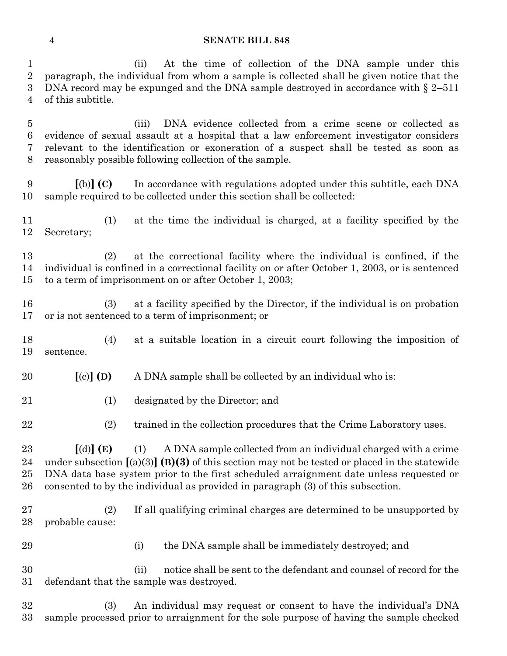#### **SENATE BILL 848**

 (ii) At the time of collection of the DNA sample under this paragraph, the individual from whom a sample is collected shall be given notice that the DNA record may be expunged and the DNA sample destroyed in accordance with § 2–511 of this subtitle. (iii) DNA evidence collected from a crime scene or collected as evidence of sexual assault at a hospital that a law enforcement investigator considers relevant to the identification or exoneration of a suspect shall be tested as soon as reasonably possible following collection of the sample. **[**(b)**] (C)** In accordance with regulations adopted under this subtitle, each DNA sample required to be collected under this section shall be collected: (1) at the time the individual is charged, at a facility specified by the Secretary; (2) at the correctional facility where the individual is confined, if the individual is confined in a correctional facility on or after October 1, 2003, or is sentenced to a term of imprisonment on or after October 1, 2003; (3) at a facility specified by the Director, if the individual is on probation or is not sentenced to a term of imprisonment; or (4) at a suitable location in a circuit court following the imposition of sentence. **[**(c)**] (D)** A DNA sample shall be collected by an individual who is: (1) designated by the Director; and (2) trained in the collection procedures that the Crime Laboratory uses. **[**(d)**] (E)** (1) A DNA sample collected from an individual charged with a crime under subsection **[**(a)(3)**] (B)(3)** of this section may not be tested or placed in the statewide DNA data base system prior to the first scheduled arraignment date unless requested or consented to by the individual as provided in paragraph (3) of this subsection. (2) If all qualifying criminal charges are determined to be unsupported by probable cause:

29 (i) the DNA sample shall be immediately destroyed; and

 (ii) notice shall be sent to the defendant and counsel of record for the defendant that the sample was destroyed.

 (3) An individual may request or consent to have the individual's DNA sample processed prior to arraignment for the sole purpose of having the sample checked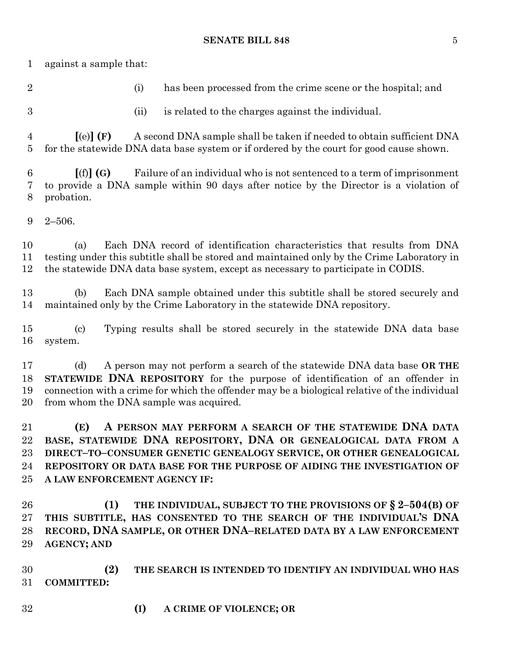### **SENATE BILL 848** 5

against a sample that:

(i) has been processed from the crime scene or the hospital; and

(ii) is related to the charges against the individual.

 **[**(e)**] (F)** A second DNA sample shall be taken if needed to obtain sufficient DNA for the statewide DNA data base system or if ordered by the court for good cause shown.

 **[**(f)**] (G)** Failure of an individual who is not sentenced to a term of imprisonment to provide a DNA sample within 90 days after notice by the Director is a violation of probation.

2–506.

 (a) Each DNA record of identification characteristics that results from DNA testing under this subtitle shall be stored and maintained only by the Crime Laboratory in the statewide DNA data base system, except as necessary to participate in CODIS.

 (b) Each DNA sample obtained under this subtitle shall be stored securely and maintained only by the Crime Laboratory in the statewide DNA repository.

 (c) Typing results shall be stored securely in the statewide DNA data base system.

 (d) A person may not perform a search of the statewide DNA data base **OR THE STATEWIDE DNA REPOSITORY** for the purpose of identification of an offender in connection with a crime for which the offender may be a biological relative of the individual from whom the DNA sample was acquired.

 **(E) A PERSON MAY PERFORM A SEARCH OF THE STATEWIDE DNA DATA BASE, STATEWIDE DNA REPOSITORY, DNA OR GENEALOGICAL DATA FROM A DIRECT–TO–CONSUMER GENETIC GENEALOGY SERVICE, OR OTHER GENEALOGICAL REPOSITORY OR DATA BASE FOR THE PURPOSE OF AIDING THE INVESTIGATION OF A LAW ENFORCEMENT AGENCY IF:**

 **(1) THE INDIVIDUAL, SUBJECT TO THE PROVISIONS OF § 2–504(B) OF THIS SUBTITLE, HAS CONSENTED TO THE SEARCH OF THE INDIVIDUAL'S DNA RECORD, DNA SAMPLE, OR OTHER DNA–RELATED DATA BY A LAW ENFORCEMENT AGENCY; AND**

 **(2) THE SEARCH IS INTENDED TO IDENTIFY AN INDIVIDUAL WHO HAS COMMITTED:**

**(I) A CRIME OF VIOLENCE; OR**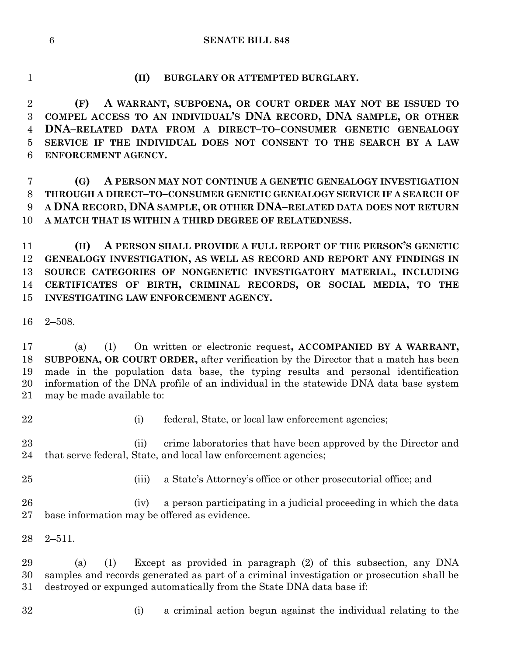#### **SENATE BILL 848**

**(II) BURGLARY OR ATTEMPTED BURGLARY.**

 **(F) A WARRANT, SUBPOENA, OR COURT ORDER MAY NOT BE ISSUED TO COMPEL ACCESS TO AN INDIVIDUAL'S DNA RECORD, DNA SAMPLE, OR OTHER DNA–RELATED DATA FROM A DIRECT–TO–CONSUMER GENETIC GENEALOGY SERVICE IF THE INDIVIDUAL DOES NOT CONSENT TO THE SEARCH BY A LAW ENFORCEMENT AGENCY.**

 **(G) A PERSON MAY NOT CONTINUE A GENETIC GENEALOGY INVESTIGATION THROUGH A DIRECT–TO–CONSUMER GENETIC GENEALOGY SERVICE IF A SEARCH OF A DNA RECORD, DNA SAMPLE, OR OTHER DNA–RELATED DATA DOES NOT RETURN A MATCH THAT IS WITHIN A THIRD DEGREE OF RELATEDNESS.**

 **(H) A PERSON SHALL PROVIDE A FULL REPORT OF THE PERSON'S GENETIC GENEALOGY INVESTIGATION, AS WELL AS RECORD AND REPORT ANY FINDINGS IN SOURCE CATEGORIES OF NONGENETIC INVESTIGATORY MATERIAL, INCLUDING CERTIFICATES OF BIRTH, CRIMINAL RECORDS, OR SOCIAL MEDIA, TO THE INVESTIGATING LAW ENFORCEMENT AGENCY.**

2–508.

 (a) (1) On written or electronic request**, ACCOMPANIED BY A WARRANT, SUBPOENA, OR COURT ORDER,** after verification by the Director that a match has been made in the population data base, the typing results and personal identification information of the DNA profile of an individual in the statewide DNA data base system may be made available to:

- 
- (i) federal, State, or local law enforcement agencies;

 (ii) crime laboratories that have been approved by the Director and that serve federal, State, and local law enforcement agencies;

(iii) a State's Attorney's office or other prosecutorial office; and

 (iv) a person participating in a judicial proceeding in which the data base information may be offered as evidence.

2–511.

 (a) (1) Except as provided in paragraph (2) of this subsection, any DNA samples and records generated as part of a criminal investigation or prosecution shall be destroyed or expunged automatically from the State DNA data base if:

- 
- (i) a criminal action begun against the individual relating to the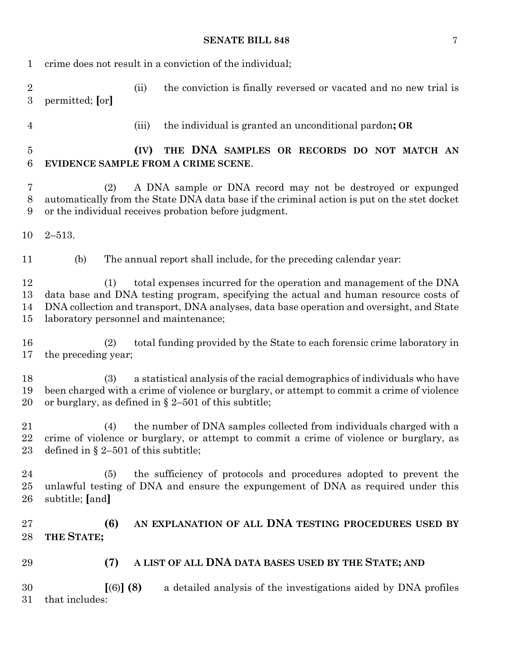# **SENATE BILL 848** 7

| 1                                  | crime does not result in a conviction of the individual;                                                                                                                                                                                                                                                |  |  |  |
|------------------------------------|---------------------------------------------------------------------------------------------------------------------------------------------------------------------------------------------------------------------------------------------------------------------------------------------------------|--|--|--|
| $\boldsymbol{2}$<br>$\overline{3}$ | the conviction is finally reversed or vacated and no new trial is<br>(ii)<br>permitted; [or]                                                                                                                                                                                                            |  |  |  |
| $\overline{4}$                     | the individual is granted an unconditional pardon; OR<br>(iii)                                                                                                                                                                                                                                          |  |  |  |
| $\overline{5}$<br>6                | THE DNA SAMPLES OR RECORDS DO NOT MATCH AN<br>(IV)<br>EVIDENCE SAMPLE FROM A CRIME SCENE.                                                                                                                                                                                                               |  |  |  |
| 7<br>$8\,$<br>9                    | A DNA sample or DNA record may not be destroyed or expunged<br>(2)<br>automatically from the State DNA data base if the criminal action is put on the stet docket<br>or the individual receives probation before judgment.                                                                              |  |  |  |
| 10                                 | $2 - 513.$                                                                                                                                                                                                                                                                                              |  |  |  |
| 11                                 | The annual report shall include, for the preceding calendar year:<br>(b)                                                                                                                                                                                                                                |  |  |  |
| 12<br>13<br>14<br>15               | total expenses incurred for the operation and management of the DNA<br>(1)<br>data base and DNA testing program, specifying the actual and human resource costs of<br>DNA collection and transport, DNA analyses, data base operation and oversight, and State<br>laboratory personnel and maintenance; |  |  |  |
| 16<br>17                           | total funding provided by the State to each forensic crime laboratory in<br>(2)<br>the preceding year;                                                                                                                                                                                                  |  |  |  |
| 18<br>19<br>20                     | a statistical analysis of the racial demographics of individuals who have<br>(3)<br>been charged with a crime of violence or burglary, or attempt to commit a crime of violence<br>or burglary, as defined in $\S 2-501$ of this subtitle;                                                              |  |  |  |
| 21<br>22<br>23                     | (4) the number of DNA samples collected from individuals charged with a<br>crime of violence or burglary, or attempt to commit a crime of violence or burglary, as<br>defined in $\S 2-501$ of this subtitle;                                                                                           |  |  |  |
| 24<br>25<br>26                     | the sufficiency of protocols and procedures adopted to prevent the<br>(5)<br>unlawful testing of DNA and ensure the expungement of DNA as required under this<br>subtitle; [and]                                                                                                                        |  |  |  |
| 27<br>28                           | AN EXPLANATION OF ALL DNA TESTING PROCEDURES USED BY<br>(6)<br>THE STATE;                                                                                                                                                                                                                               |  |  |  |
| 29                                 | A LIST OF ALL DNA DATA BASES USED BY THE STATE; AND<br>(7)                                                                                                                                                                                                                                              |  |  |  |
| 30<br>31                           | [(6)] (8)<br>a detailed analysis of the investigations aided by DNA profiles<br>that includes:                                                                                                                                                                                                          |  |  |  |